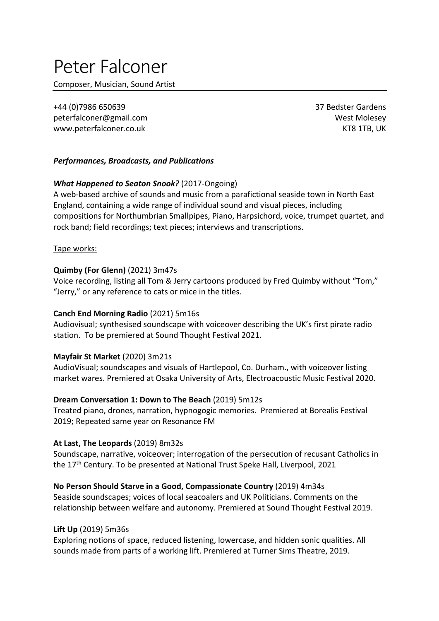# Peter Falconer

Composer, Musician, Sound Artist

+44 (0)7986 650639 37 Bedster Gardens peterfalconer@gmail.com West Molesey www.peterfalconer.co.uk and the state of the state of the state of the state of the state of the state of the state of the state of the state of the state of the state of the state of the state of the state of the state of

### *Performances, Broadcasts, and Publications*

## *What Happened to Seaton Snook?* (2017-Ongoing)

A web-based archive of sounds and music from a parafictional seaside town in North East England, containing a wide range of individual sound and visual pieces, including compositions for Northumbrian Smallpipes, Piano, Harpsichord, voice, trumpet quartet, and rock band; field recordings; text pieces; interviews and transcriptions.

Tape works:

#### **Quimby (For Glenn)** (2021) 3m47s

Voice recording, listing all Tom & Jerry cartoons produced by Fred Quimby without "Tom," "Jerry," or any reference to cats or mice in the titles.

#### **Canch End Morning Radio** (2021) 5m16s

Audiovisual; synthesised soundscape with voiceover describing the UK's first pirate radio station. To be premiered at Sound Thought Festival 2021.

#### **Mayfair St Market** (2020) 3m21s

AudioVisual; soundscapes and visuals of Hartlepool, Co. Durham., with voiceover listing market wares. Premiered at Osaka University of Arts, Electroacoustic Music Festival 2020.

#### **Dream Conversation 1: Down to The Beach** (2019) 5m12s

Treated piano, drones, narration, hypnogogic memories. Premiered at Borealis Festival 2019; Repeated same year on Resonance FM

#### **At Last, The Leopards** (2019) 8m32s

Soundscape, narrative, voiceover; interrogation of the persecution of recusant Catholics in the 17<sup>th</sup> Century. To be presented at National Trust Speke Hall, Liverpool, 2021

#### **No Person Should Starve in a Good, Compassionate Country** (2019) 4m34s

Seaside soundscapes; voices of local seacoalers and UK Politicians. Comments on the relationship between welfare and autonomy. Premiered at Sound Thought Festival 2019.

#### **Lift Up** (2019) 5m36s

Exploring notions of space, reduced listening, lowercase, and hidden sonic qualities. All sounds made from parts of a working lift. Premiered at Turner Sims Theatre, 2019.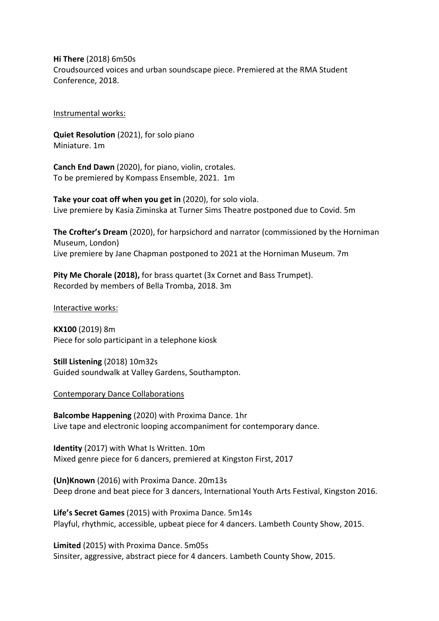**Hi There** (2018) 6m50s Croudsourced voices and urban soundscape piece. Premiered at the RMA Student Conference, 2018.

#### Instrumental works:

**Quiet Resolution** (2021), for solo piano Miniature. 1m

**Canch End Dawn** (2020), for piano, violin, crotales. To be premiered by Kompass Ensemble, 2021. 1m

**Take your coat off when you get in** (2020), for solo viola. Live premiere by Kasia Ziminska at Turner Sims Theatre postponed due to Covid. 5m

**The Crofter's Dream** (2020), for harpsichord and narrator (commissioned by the Horniman Museum, London) Live premiere by Jane Chapman postponed to 2021 at the Horniman Museum. 7m

**Pity Me Chorale (2018),** for brass quartet (3x Cornet and Bass Trumpet). Recorded by members of Bella Tromba, 2018. 3m

Interactive works:

**KX100** (2019) 8m Piece for solo participant in a telephone kiosk

**Still Listening** (2018) 10m32s Guided soundwalk at Valley Gardens, Southampton.

Contemporary Dance Collaborations

**Balcombe Happening** (2020) with Proxima Dance. 1hr Live tape and electronic looping accompaniment for contemporary dance.

**Identity** (2017) with What Is Written. 10m Mixed genre piece for 6 dancers, premiered at Kingston First, 2017

**(Un)Known** (2016) with Proxima Dance. 20m13s Deep drone and beat piece for 3 dancers, International Youth Arts Festival, Kingston 2016.

**Life's Secret Games** (2015) with Proxima Dance. 5m14s Playful, rhythmic, accessible, upbeat piece for 4 dancers. Lambeth County Show, 2015.

**Limited** (2015) with Proxima Dance. 5m05s Sinsiter, aggressive, abstract piece for 4 dancers. Lambeth County Show, 2015.